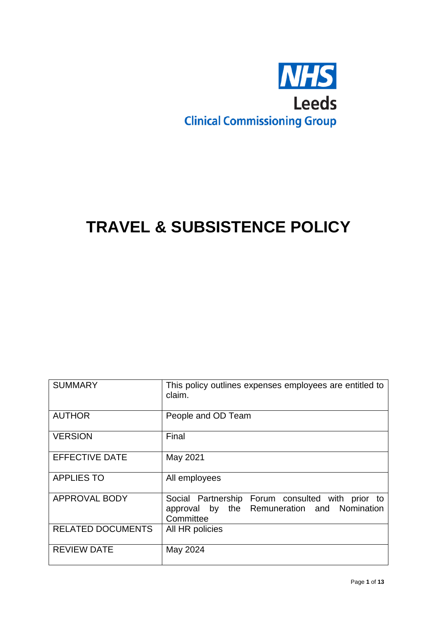

# **TRAVEL & SUBSISTENCE POLICY**

| <b>SUMMARY</b>           | This policy outlines expenses employees are entitled to<br>claim.                                            |
|--------------------------|--------------------------------------------------------------------------------------------------------------|
| <b>AUTHOR</b>            | People and OD Team                                                                                           |
| <b>VERSION</b>           | Final                                                                                                        |
| <b>EFFECTIVE DATE</b>    | May 2021                                                                                                     |
| <b>APPLIES TO</b>        | All employees                                                                                                |
| <b>APPROVAL BODY</b>     | Social Partnership Forum consulted with prior to<br>approval by the Remuneration and Nomination<br>Committee |
| <b>RELATED DOCUMENTS</b> | All HR policies                                                                                              |
| <b>REVIEW DATE</b>       | May 2024                                                                                                     |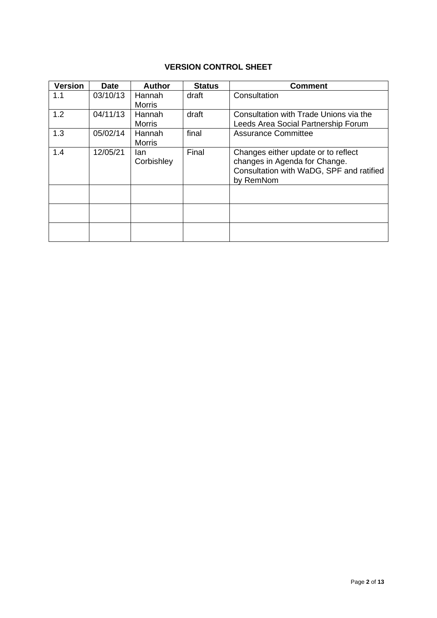## **VERSION CONTROL SHEET**

| <b>Version</b> | <b>Date</b> | <b>Author</b>           | <b>Status</b> | <b>Comment</b>                                                                                                                |
|----------------|-------------|-------------------------|---------------|-------------------------------------------------------------------------------------------------------------------------------|
| 1.1            | 03/10/13    | Hannah<br><b>Morris</b> | draft         | Consultation                                                                                                                  |
| 1.2            | 04/11/13    | Hannah<br><b>Morris</b> | draft         | Consultation with Trade Unions via the<br>Leeds Area Social Partnership Forum                                                 |
| 1.3            | 05/02/14    | Hannah<br><b>Morris</b> | final         | <b>Assurance Committee</b>                                                                                                    |
| 1.4            | 12/05/21    | lan<br>Corbishley       | Final         | Changes either update or to reflect<br>changes in Agenda for Change.<br>Consultation with WaDG, SPF and ratified<br>by RemNom |
|                |             |                         |               |                                                                                                                               |
|                |             |                         |               |                                                                                                                               |
|                |             |                         |               |                                                                                                                               |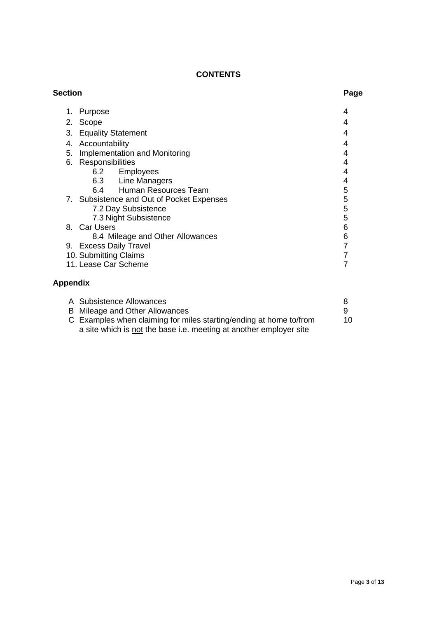## **CONTENTS**

| <b>Section</b> |                                                                    | Page           |
|----------------|--------------------------------------------------------------------|----------------|
| 1.             | Purpose                                                            | 4              |
| 2.             | Scope                                                              | 4              |
| 3.             | <b>Equality Statement</b>                                          | 4              |
| 4.             | Accountability                                                     | 4              |
| 5.             | Implementation and Monitoring                                      | 4              |
| 6.             | Responsibilities                                                   | 4              |
|                | 6.2 Employees                                                      | 4              |
|                | 6.3 Line Managers                                                  | 4              |
|                | 6.4 Human Resources Team                                           | 5              |
|                | 7. Subsistence and Out of Pocket Expenses                          | 5              |
|                | 7.2 Day Subsistence                                                | 5              |
|                | 7.3 Night Subsistence                                              | 5              |
|                | 8. Car Users                                                       | 6              |
|                | 8.4 Mileage and Other Allowances                                   | 6              |
|                | 9. Excess Daily Travel                                             | 7              |
|                | 10. Submitting Claims                                              | $\overline{7}$ |
|                | 11. Lease Car Scheme                                               | 7              |
|                | <b>Appendix</b>                                                    |                |
|                | A Subsistence Allowances                                           | 8              |
| B              | Mileage and Other Allowances                                       | 9              |
|                | C Examples when claiming for miles starting/ending at home to/from | 10             |

a site which is not the base i.e. meeting at another employer site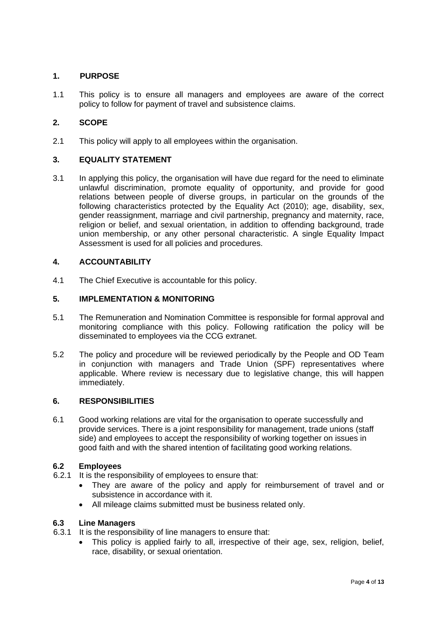## **1. PURPOSE**

1.1 This policy is to ensure all managers and employees are aware of the correct policy to follow for payment of travel and subsistence claims.

## **2. SCOPE**

2.1 This policy will apply to all employees within the organisation.

## **3. EQUALITY STATEMENT**

3.1 In applying this policy, the organisation will have due regard for the need to eliminate unlawful discrimination, promote equality of opportunity, and provide for good relations between people of diverse groups, in particular on the grounds of the following characteristics protected by the Equality Act (2010); age, disability, sex, gender reassignment, marriage and civil partnership, pregnancy and maternity, race, religion or belief, and sexual orientation, in addition to offending background, trade union membership, or any other personal characteristic. A single Equality Impact Assessment is used for all policies and procedures.

#### **4. ACCOUNTABILITY**

4.1 The Chief Executive is accountable for this policy.

#### **5. IMPLEMENTATION & MONITORING**

- 5.1 The Remuneration and Nomination Committee is responsible for formal approval and monitoring compliance with this policy. Following ratification the policy will be disseminated to employees via the CCG extranet.
- 5.2 The policy and procedure will be reviewed periodically by the People and OD Team in conjunction with managers and Trade Union (SPF) representatives where applicable. Where review is necessary due to legislative change, this will happen immediately.

#### **6. RESPONSIBILITIES**

6.1 Good working relations are vital for the organisation to operate successfully and provide services. There is a joint responsibility for management, trade unions (staff side) and employees to accept the responsibility of working together on issues in good faith and with the shared intention of facilitating good working relations.

#### **6.2 Employees**

- 6.2.1 It is the responsibility of employees to ensure that:
	- They are aware of the policy and apply for reimbursement of travel and or subsistence in accordance with it.
	- All mileage claims submitted must be business related only.

#### **6.3 Line Managers**

- 6.3.1 It is the responsibility of line managers to ensure that:
	- This policy is applied fairly to all, irrespective of their age, sex, religion, belief, race, disability, or sexual orientation.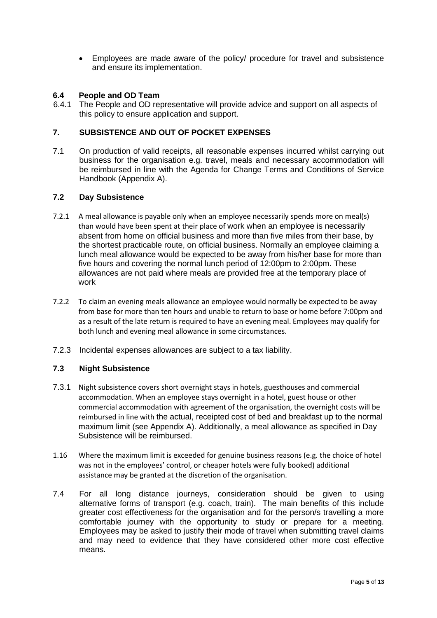• Employees are made aware of the policy/ procedure for travel and subsistence and ensure its implementation.

#### **6.4 People and OD Team**

6.4.1 The People and OD representative will provide advice and support on all aspects of this policy to ensure application and support.

#### **7. SUBSISTENCE AND OUT OF POCKET EXPENSES**

7.1 On production of valid receipts, all reasonable expenses incurred whilst carrying out business for the organisation e.g. travel, meals and necessary accommodation will be reimbursed in line with the Agenda for Change Terms and Conditions of Service Handbook (Appendix A).

#### **7.2 Day Subsistence**

- 7.2.1 A meal allowance is payable only when an employee necessarily spends more on meal(s) than would have been spent at their place of work when an employee is necessarily absent from home on official business and more than five miles from their base, by the shortest practicable route, on official business. Normally an employee claiming a lunch meal allowance would be expected to be away from his/her base for more than five hours and covering the normal lunch period of 12:00pm to 2:00pm. These allowances are not paid where meals are provided free at the temporary place of work
- 7.2.2 To claim an evening meals allowance an employee would normally be expected to be away from base for more than ten hours and unable to return to base or home before 7:00pm and as a result of the late return is required to have an evening meal. Employees may qualify for both lunch and evening meal allowance in some circumstances.
- 7.2.3 Incidental expenses allowances are subject to a tax liability.

## **7.3 Night Subsistence**

- 7.3.1 Night subsistence covers short overnight stays in hotels, guesthouses and commercial accommodation. When an employee stays overnight in a hotel, guest house or other commercial accommodation with agreement of the organisation, the overnight costs will be reimbursed in line with the actual, receipted cost of bed and breakfast up to the normal maximum limit (see Appendix A). Additionally, a meal allowance as specified in Day Subsistence will be reimbursed.
- 1.16 Where the maximum limit is exceeded for genuine business reasons (e.g. the choice of hotel was not in the employees' control, or cheaper hotels were fully booked) additional assistance may be granted at the discretion of the organisation.
- 7.4 For all long distance journeys, consideration should be given to using alternative forms of transport (e.g. coach, train). The main benefits of this include greater cost effectiveness for the organisation and for the person/s travelling a more comfortable journey with the opportunity to study or prepare for a meeting. Employees may be asked to justify their mode of travel when submitting travel claims and may need to evidence that they have considered other more cost effective means.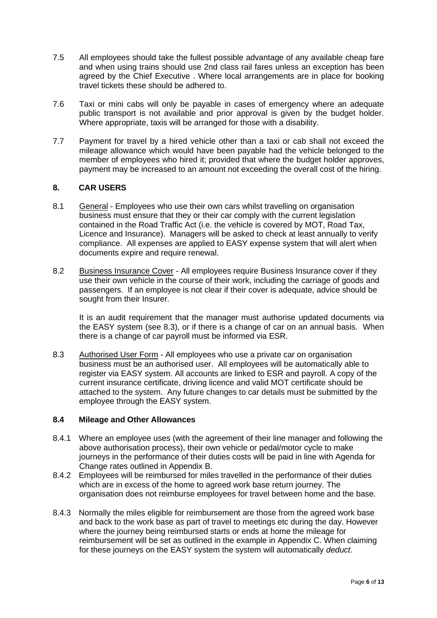- 7.5 All employees should take the fullest possible advantage of any available cheap fare and when using trains should use 2nd class rail fares unless an exception has been agreed by the Chief Executive . Where local arrangements are in place for booking travel tickets these should be adhered to.
- 7.6 Taxi or mini cabs will only be payable in cases of emergency where an adequate public transport is not available and prior approval is given by the budget holder. Where appropriate, taxis will be arranged for those with a disability.
- 7.7 Payment for travel by a hired vehicle other than a taxi or cab shall not exceed the mileage allowance which would have been payable had the vehicle belonged to the member of employees who hired it; provided that where the budget holder approves, payment may be increased to an amount not exceeding the overall cost of the hiring.

## **8. CAR USERS**

- 8.1 General Employees who use their own cars whilst travelling on organisation business must ensure that they or their car comply with the current legislation contained in the Road Traffic Act (i.e. the vehicle is covered by MOT, Road Tax, Licence and Insurance). Managers will be asked to check at least annually to verify compliance. All expenses are applied to EASY expense system that will alert when documents expire and require renewal.
- 8.2 Business Insurance Cover All employees require Business Insurance cover if they use their own vehicle in the course of their work, including the carriage of goods and passengers. If an employee is not clear if their cover is adequate, advice should be sought from their Insurer.

It is an audit requirement that the manager must authorise updated documents via the EASY system (see 8.3), or if there is a change of car on an annual basis. When there is a change of car payroll must be informed via ESR.

8.3 Authorised User Form - All employees who use a private car on organisation business must be an authorised user. All employees will be automatically able to register via EASY system. All accounts are linked to ESR and payroll. A copy of the current insurance certificate, driving licence and valid MOT certificate should be attached to the system. Any future changes to car details must be submitted by the employee through the EASY system.

## **8.4 Mileage and Other Allowances**

- 8.4.1 Where an employee uses (with the agreement of their line manager and following the above authorisation process), their own vehicle or pedal/motor cycle to make journeys in the performance of their duties costs will be paid in line with Agenda for Change rates outlined in Appendix B.
- 8.4.2 Employees will be reimbursed for miles travelled in the performance of their duties which are in excess of the home to agreed work base return journey. The organisation does not reimburse employees for travel between home and the base.
- 8.4.3 Normally the miles eligible for reimbursement are those from the agreed work base and back to the work base as part of travel to meetings etc during the day. However where the journey being reimbursed starts or ends at home the mileage for reimbursement will be set as outlined in the example in Appendix C. When claiming for these journeys on the EASY system the system will automatically *deduct*.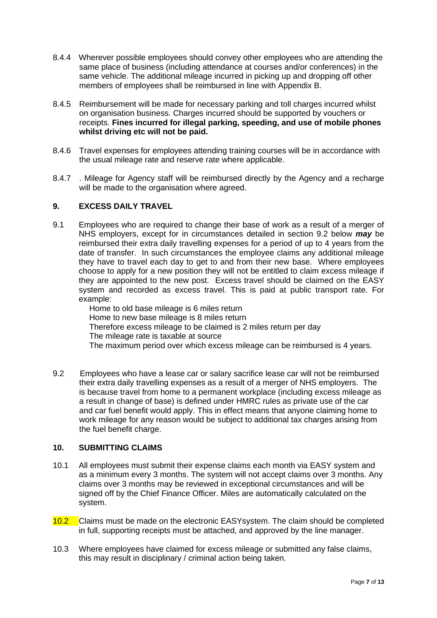- 8.4.4 Wherever possible employees should convey other employees who are attending the same place of business (including attendance at courses and/or conferences) in the same vehicle. The additional mileage incurred in picking up and dropping off other members of employees shall be reimbursed in line with Appendix B.
- 8.4.5 Reimbursement will be made for necessary parking and toll charges incurred whilst on organisation business. Charges incurred should be supported by vouchers or receipts. **Fines incurred for illegal parking, speeding, and use of mobile phones whilst driving etc will not be paid.**
- 8.4.6 Travel expenses for employees attending training courses will be in accordance with the usual mileage rate and reserve rate where applicable.
- 8.4.7 . Mileage for Agency staff will be reimbursed directly by the Agency and a recharge will be made to the organisation where agreed.

## **9. EXCESS DAILY TRAVEL**

9.1 Employees who are required to change their base of work as a result of a merger of NHS employers, except for in circumstances detailed in section 9.2 below *may* be reimbursed their extra daily travelling expenses for a period of up to 4 years from the date of transfer. In such circumstances the employee claims any additional mileage they have to travel each day to get to and from their new base. Where employees choose to apply for a new position they will not be entitled to claim excess mileage if they are appointed to the new post. Excess travel should be claimed on the EASY system and recorded as excess travel. This is paid at public transport rate. For example:

Home to old base mileage is 6 miles return Home to new base mileage is 8 miles return Therefore excess mileage to be claimed is 2 miles return per day The mileage rate is taxable at source The maximum period over which excess mileage can be reimbursed is 4 years.

9.2 Employees who have a lease car or salary sacrifice lease car will not be reimbursed their extra daily travelling expenses as a result of a merger of NHS employers. The is because travel from home to a permanent workplace (including excess mileage as a result in change of base) is defined under HMRC rules as private use of the car and car fuel benefit would apply. This in effect means that anyone claiming home to work mileage for any reason would be subject to additional tax charges arising from the fuel benefit charge.

## **10. SUBMITTING CLAIMS**

- 10.1 All employees must submit their expense claims each month via EASY system and as a minimum every 3 months. The system will not accept claims over 3 months. Any claims over 3 months may be reviewed in exceptional circumstances and will be signed off by the Chief Finance Officer. Miles are automatically calculated on the system.
- 10.2 Claims must be made on the electronic EASYsystem. The claim should be completed in full, supporting receipts must be attached, and approved by the line manager.
- 10.3 Where employees have claimed for excess mileage or submitted any false claims, this may result in disciplinary / criminal action being taken.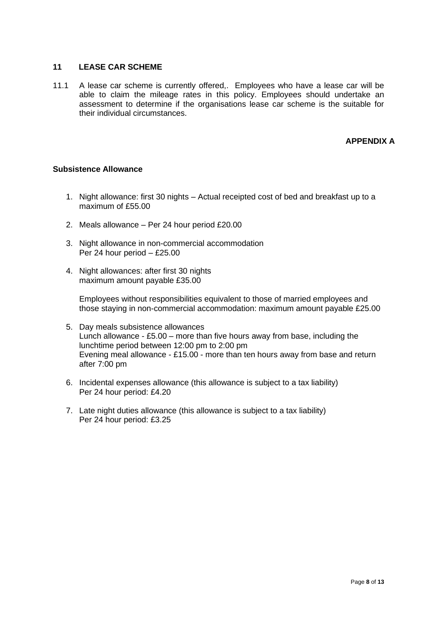## **11 LEASE CAR SCHEME**

11.1 A lease car scheme is currently offered,. Employees who have a lease car will be able to claim the mileage rates in this policy. Employees should undertake an assessment to determine if the organisations lease car scheme is the suitable for their individual circumstances.

## **APPENDIX A**

#### **Subsistence Allowance**

- 1. Night allowance: first 30 nights Actual receipted cost of bed and breakfast up to a maximum of £55.00
- 2. Meals allowance Per 24 hour period £20.00
- 3. Night allowance in non-commercial accommodation Per 24 hour period – £25.00
- 4. Night allowances: after first 30 nights maximum amount payable £35.00

Employees without responsibilities equivalent to those of married employees and those staying in non-commercial accommodation: maximum amount payable £25.00

- 5. Day meals subsistence allowances Lunch allowance - £5.00 – more than five hours away from base, including the lunchtime period between 12:00 pm to 2:00 pm Evening meal allowance - £15.00 - more than ten hours away from base and return after 7:00 pm
- 6. Incidental expenses allowance (this allowance is subject to a tax liability) Per 24 hour period: £4.20
- 7. Late night duties allowance (this allowance is subject to a tax liability) Per 24 hour period: £3.25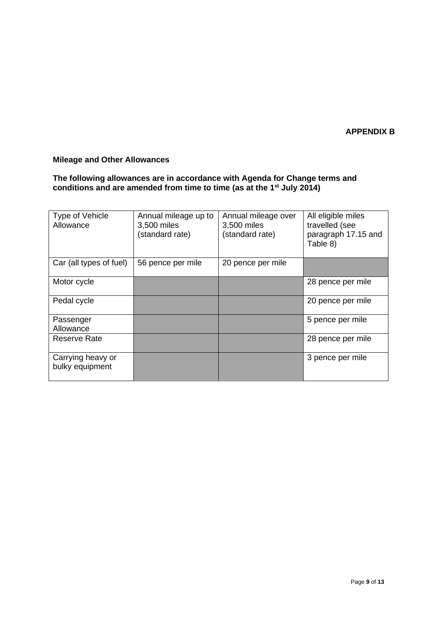## **APPENDIX B**

## **Mileage and Other Allowances**

**The following allowances are in accordance with Agenda for Change terms and conditions and are amended from time to time (as at the 1st July 2014)**

| Type of Vehicle<br>Allowance         | Annual mileage up to<br>3,500 miles<br>(standard rate) | Annual mileage over<br>3,500 miles<br>(standard rate) | All eligible miles<br>travelled (see<br>paragraph 17.15 and<br>Table 8) |
|--------------------------------------|--------------------------------------------------------|-------------------------------------------------------|-------------------------------------------------------------------------|
| Car (all types of fuel)              | 56 pence per mile                                      | 20 pence per mile                                     |                                                                         |
| Motor cycle                          |                                                        |                                                       | 28 pence per mile                                                       |
| Pedal cycle                          |                                                        |                                                       | 20 pence per mile                                                       |
| Passenger<br>Allowance               |                                                        |                                                       | 5 pence per mile                                                        |
| Reserve Rate                         |                                                        |                                                       | 28 pence per mile                                                       |
| Carrying heavy or<br>bulky equipment |                                                        |                                                       | 3 pence per mile                                                        |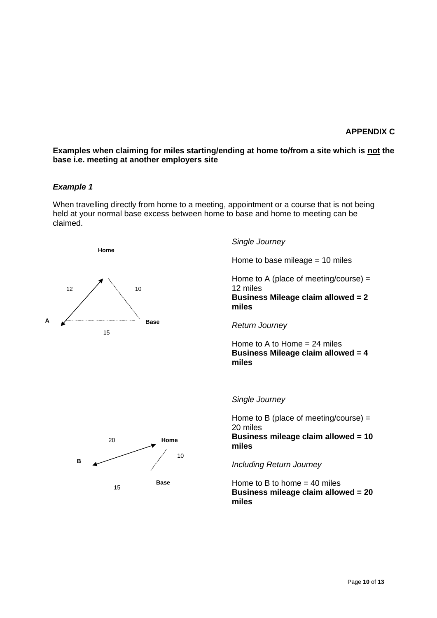#### **APPENDIX C**

#### **Examples when claiming for miles starting/ending at home to/from a site which is not the base i.e. meeting at another employers site**

#### *Example 1*

When travelling directly from home to a meeting, appointment or a course that is not being held at your normal base excess between home to base and home to meeting can be claimed.

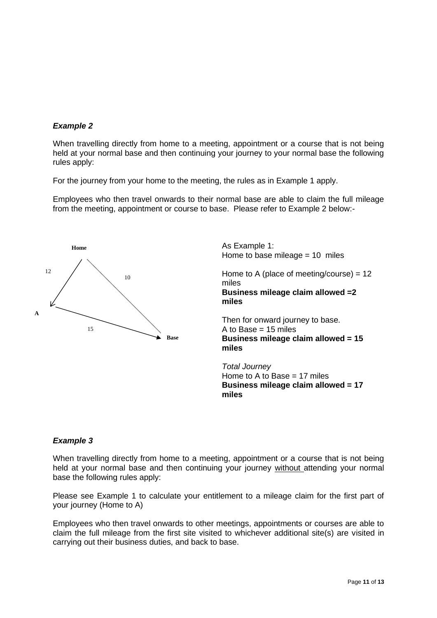## *Example 2*

When travelling directly from home to a meeting, appointment or a course that is not being held at your normal base and then continuing your journey to your normal base the following rules apply:

For the journey from your home to the meeting, the rules as in Example 1 apply.

Employees who then travel onwards to their normal base are able to claim the full mileage from the meeting, appointment or course to base. Please refer to Example 2 below:-



As Example 1: Home to base mileage = 10 miles Home to A (place of meeting/course) =  $12$ miles **Business mileage claim allowed =2 miles**

Then for onward journey to base. A to Base  $= 15$  miles **Business mileage claim allowed = 15 miles**

*Total Journey* Home to A to Base = 17 miles **Business mileage claim allowed = 17 miles**

## *Example 3*

When travelling directly from home to a meeting, appointment or a course that is not being held at your normal base and then continuing your journey without attending your normal base the following rules apply:

Please see Example 1 to calculate your entitlement to a mileage claim for the first part of your journey (Home to A)

Employees who then travel onwards to other meetings, appointments or courses are able to claim the full mileage from the first site visited to whichever additional site(s) are visited in carrying out their business duties, and back to base.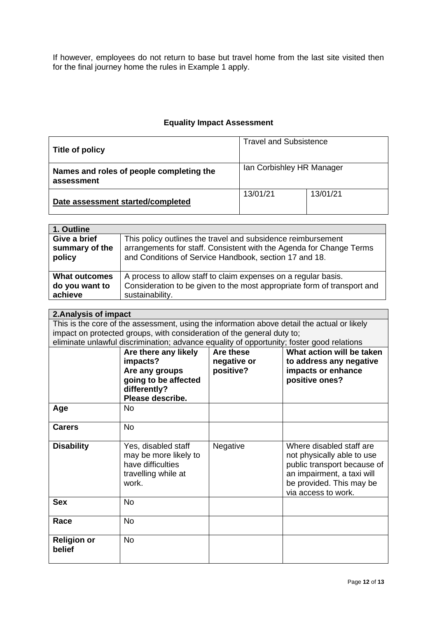If however, employees do not return to base but travel home from the last site visited then for the final journey home the rules in Example 1 apply.

# **Equality Impact Assessment**

| Title of policy                                        | <b>Travel and Subsistence</b> |          |
|--------------------------------------------------------|-------------------------------|----------|
| Names and roles of people completing the<br>assessment | Ian Corbishley HR Manager     |          |
| Date assessment started/completed                      | 13/01/21                      | 13/01/21 |

| 1. Outline           |                                                                         |
|----------------------|-------------------------------------------------------------------------|
| Give a brief         | This policy outlines the travel and subsidence reimbursement            |
| summary of the       | arrangements for staff. Consistent with the Agenda for Change Terms     |
| policy               | and Conditions of Service Handbook, section 17 and 18.                  |
| <b>What outcomes</b> | A process to allow staff to claim expenses on a regular basis.          |
| do you want to       | Consideration to be given to the most appropriate form of transport and |
| achieve              | sustainability.                                                         |
|                      |                                                                         |

| 2. Analysis of impact        |                                                                                                                |                                       |                                                                                                                                                                        |  |
|------------------------------|----------------------------------------------------------------------------------------------------------------|---------------------------------------|------------------------------------------------------------------------------------------------------------------------------------------------------------------------|--|
|                              | This is the core of the assessment, using the information above detail the actual or likely                    |                                       |                                                                                                                                                                        |  |
|                              | impact on protected groups, with consideration of the general duty to;                                         |                                       |                                                                                                                                                                        |  |
|                              | eliminate unlawful discrimination; advance equality of opportunity; foster good relations                      |                                       |                                                                                                                                                                        |  |
|                              | Are there any likely<br>impacts?<br>Are any groups<br>going to be affected<br>differently?<br>Please describe. | Are these<br>negative or<br>positive? | What action will be taken<br>to address any negative<br>impacts or enhance<br>positive ones?                                                                           |  |
| Age                          | No                                                                                                             |                                       |                                                                                                                                                                        |  |
| <b>Carers</b>                | <b>No</b>                                                                                                      |                                       |                                                                                                                                                                        |  |
| <b>Disability</b>            | Yes, disabled staff<br>may be more likely to<br>have difficulties<br>travelling while at<br>work.              | Negative                              | Where disabled staff are<br>not physically able to use<br>public transport because of<br>an impairment, a taxi will<br>be provided. This may be<br>via access to work. |  |
| <b>Sex</b>                   | <b>No</b>                                                                                                      |                                       |                                                                                                                                                                        |  |
| Race                         | <b>No</b>                                                                                                      |                                       |                                                                                                                                                                        |  |
| <b>Religion or</b><br>belief | <b>No</b>                                                                                                      |                                       |                                                                                                                                                                        |  |